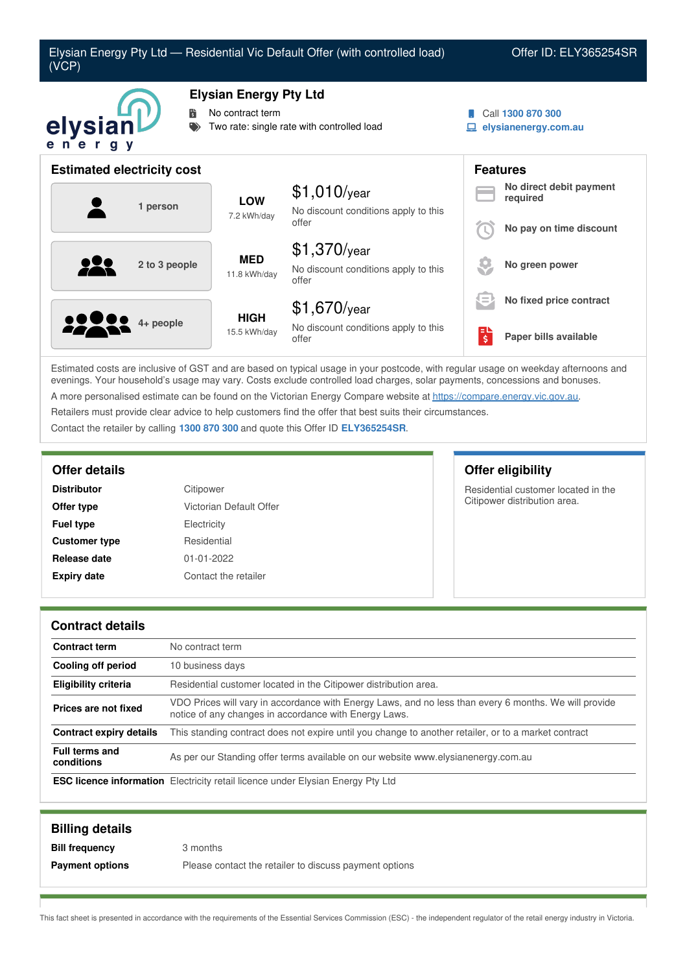

Estimated costs are inclusive of GST and are based on typical usage in your postcode, with regular usage on weekday afternoons and evenings. Your household's usage may vary. Costs exclude controlled load charges, solar payments, concessions and bonuses. A more personalised estimate can be found on the Victorian Energy Compare website at <https://compare.energy.vic.gov.au>. Retailers must provide clear advice to help customers find the offer that best suits their circumstances. Contact the retailer by calling **1300 870 300** and quote this Offer ID **ELY365254SR**.

| <b>Distributor</b>   | Citipower               |
|----------------------|-------------------------|
| Offer type           | Victorian Default Offer |
| <b>Fuel type</b>     | Electricity             |
| <b>Customer type</b> | Residential             |
| Release date         | $01 - 01 - 2022$        |
| <b>Expiry date</b>   | Contact the retailer    |

### **Offer details Offer eligibility**

Residential customer located in the Citipower distribution area.

### **Contract details**

| <b>Contract term</b>                | No contract term                                                                                                                                               |
|-------------------------------------|----------------------------------------------------------------------------------------------------------------------------------------------------------------|
| <b>Cooling off period</b>           | 10 business days                                                                                                                                               |
| <b>Eligibility criteria</b>         | Residential customer located in the Citipower distribution area.                                                                                               |
| Prices are not fixed                | VDO Prices will vary in accordance with Energy Laws, and no less than every 6 months. We will provide<br>notice of any changes in accordance with Energy Laws. |
| <b>Contract expiry details</b>      | This standing contract does not expire until you change to another retailer, or to a market contract                                                           |
| <b>Full terms and</b><br>conditions | As per our Standing offer terms available on our website www.elysianenergy.com.au                                                                              |
|                                     | <b>ESC licence information</b> Electricity retail licence under Elysian Energy Pty Ltd                                                                         |

| <b>Billing details</b> |                                                        |
|------------------------|--------------------------------------------------------|
| <b>Bill frequency</b>  | 3 months                                               |
| <b>Payment options</b> | Please contact the retailer to discuss payment options |

This fact sheet is presented in accordance with the requirements of the Essential Services Commission (ESC) - the independent regulator of the retail energy industry in Victoria.